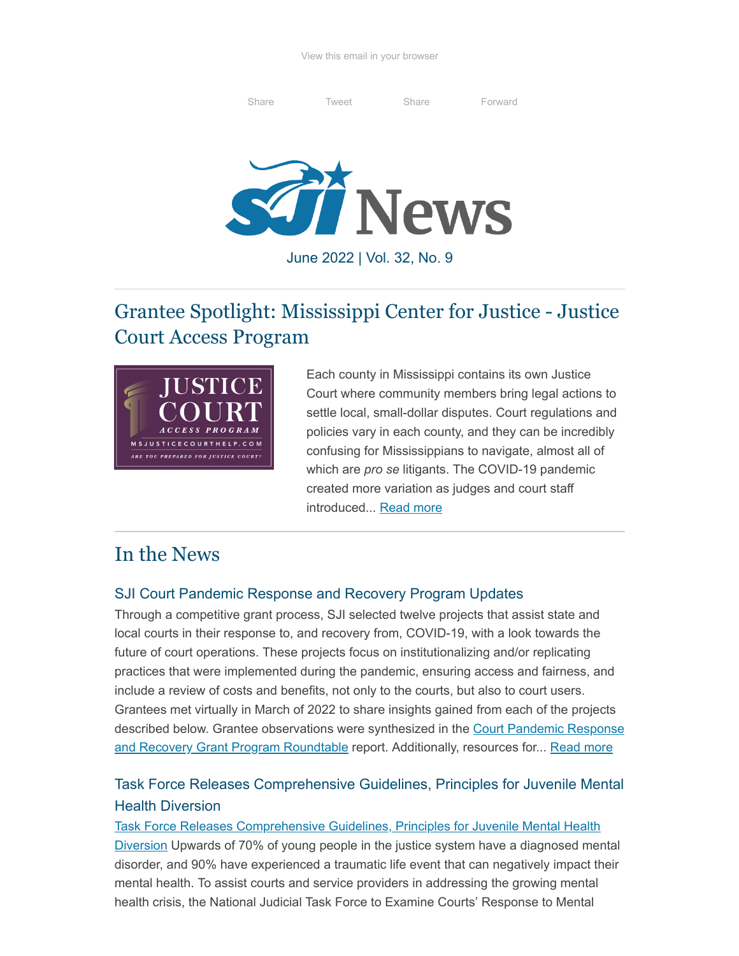[Share](http://www.linkedin.com/shareArticle?url=http%3A%2F%2Feepurl.com%2Fh4CSBb&mini=true&title=SJI+Newsletter) [Tweet](http://twitter.com/intent/tweet?text=SJI+Newsletter:%20http%3A%2F%2Feepurl.com%2Fh4CSBb) Share [Forward](http://us1.forward-to-friend.com/forward?u=0382d02fc766538337aabb188&id=8af0b90a4c&e=[UNIQID])



June 2022 | Vol. 32, No. 9

# Grantee Spotlight: Mississippi Center for Justice - Justice Court Access Program



Each county in Mississippi contains its own Justice Court where community members bring legal actions to settle local, small-dollar disputes. Court regulations and policies vary in each county, and they can be incredibly confusing for Mississippians to navigate, almost all of which are *pro se* litigants. The COVID-19 pandemic created more variation as judges and court staff introduced... [Read more](https://www.sji.gov/?p=3126)

## In the News

#### SJI Court Pandemic Response and Recovery Program Updates

Through a competitive grant process, SJI selected twelve projects that assist state and local courts in their response to, and recovery from, COVID-19, with a look towards the future of court operations. These projects focus on institutionalizing and/or replicating practices that were implemented during the pandemic, ensuring access and fairness, and include a review of costs and benefits, not only to the courts, but also to court users. Grantees met virtually in March of 2022 to share insights gained from each of the projects [described below. Grantee observations were synthesized in the](https://www.sji.gov/wp-content/uploads/Pandemic-Roundtable-Report_Final.pdf) Court Pandemic Response and Recovery Grant Program Roundtable report. Additionally, resources for... [Read more](https://www.sji.gov/priority-investment-areas/court-pandemic-response-and-recovery-grant-program/)

### Task Force Releases Comprehensive Guidelines, Principles for Juvenile Mental Health Diversion

[Task Force Releases Comprehensive Guidelines, Principles for Juvenile Mental Health](https://lnks.gd/l/eyJhbGciOiJIUzI1NiJ9.eyJidWxsZXRpbl9saW5rX2lkIjoxMDAsInVyaSI6ImJwMjpjbGljayIsImJ1bGxldGluX2lkIjoiMjAyMjA2MDEuNTg3NTgxMDEiLCJ1cmwiOiJodHRwczovL2NvbnRlbnQuZ292ZGVsaXZlcnkuY29tL2FjY291bnRzL1VTTkNTQy9idWxsZXRpbnMvMzExZWIwYiJ9.VlZq6yoYs7zhDNTyPu4NxMMQPYhZP-SZ4Fvjmxj4y6Q/s/753564883/br/132243983257-l) Diversion Upwards of 70% of young people in the justice system have a diagnosed mental disorder, and 90% have experienced a traumatic life event that can negatively impact their mental health. To assist courts and service providers in addressing the growing mental health crisis, the National Judicial Task Force to Examine Courts' Response to Mental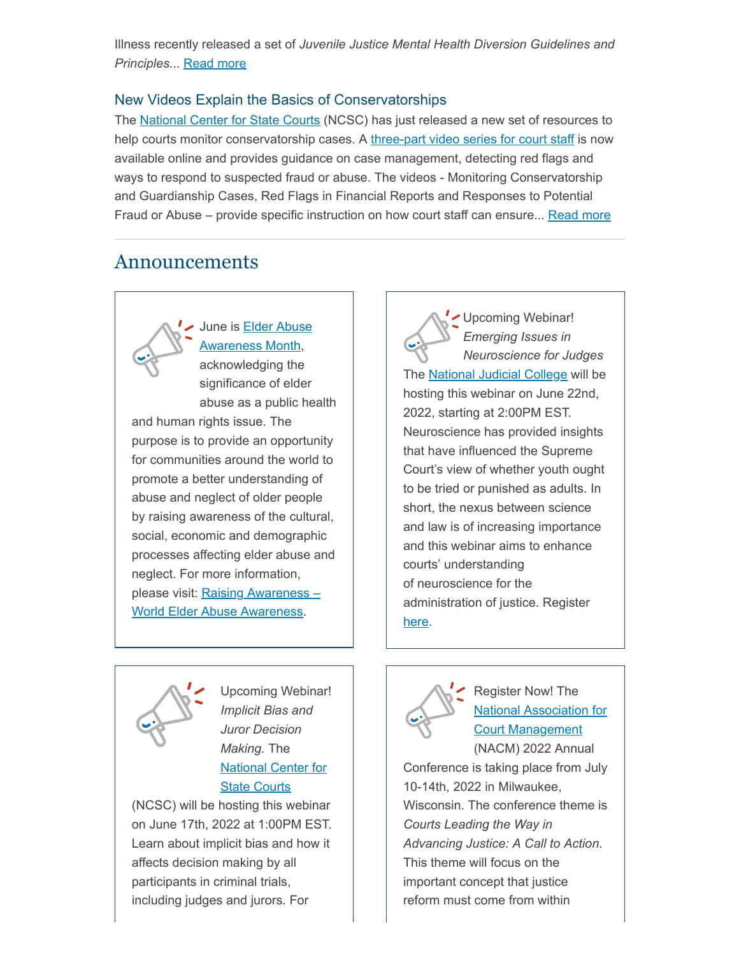Illness recently released a set of *Juvenile Justice Mental Health Diversion Guidelines and Principles.*.. [Read more](https://www.sji.gov/task-force-releases-comprehensive-guidelines-principles-for-juvenile-mental-health-diversion/)

#### New Videos Explain the Basics of Conservatorships

The [National Center for State Courts](https://www.ncsc.org/) (NCSC) has just released a new set of resources to help courts monitor conservatorship cases. A [three-part video series for court staff](https://lnks.gd/l/eyJhbGciOiJIUzI1NiJ9.eyJidWxsZXRpbl9saW5rX2lkIjoxMDAsInVyaSI6ImJwMjpjbGljayIsImJ1bGxldGluX2lkIjoiMjAyMjA2MDguNTkwNjk2OTEiLCJ1cmwiOiJodHRwczovL3d3dy5lbGRlcnNhbmRjb3VydHMub3JnL3RyYWluaW5nL2NvbnNlcnZhdG9yLXZpZGVvcy9wcm9iYXRlLWNvdXJ0LXN0YWZmLXZpZGVvLXNlcmllcyJ9.C_tPN-kXDPHCqLiSvmuoccdZ6sa0oLYG6imi8vmlwQA/s/1154699791/br/132594771399-l) is now available online and provides guidance on case management, detecting red flags and ways to respond to suspected fraud or abuse. The videos - Monitoring Conservatorship and Guardianship Cases, Red Flags in Financial Reports and Responses to Potential Fraud or Abuse – provide specific instruction on how court staff can ensure... [Read more](https://www.sji.gov/new-videos-explain-the-basics-of-conservatorships/)

### Announcements



[June is Elder Abuse](https://ncea.acl.gov/WEAAD.aspx) Awareness Month,

acknowledging the significance of elder abuse as a public health and human rights issue. The purpose is to provide an opportunity for communities around the world to promote a better understanding of abuse and neglect of older people by raising awareness of the cultural, social, economic and demographic processes affecting elder abuse and neglect. For more information, please visit: Raising Awareness – [World Elder Abuse Awareness.](https://worldelderabuseawareness.com/raising-awareness/)

Upcoming Webinar! *Emerging Issues in Neuroscience for Judges* The [National Judicial College](https://www.judges.org/) will be hosting this webinar on June 22nd, 2022, starting at 2:00PM EST. Neuroscience has provided insights that have influenced the Supreme Court's view of whether youth ought to be tried or punished as adults. In short, the nexus between science and law is of increasing importance and this webinar aims to enhance courts' understanding of neuroscience for the administration of justice. Register [here](https://aaas.zoom.us/webinar/register/WN_HZUJq0ikR5CIyxaxuvVXHQ).



Upcoming Webinar! *Implicit Bias and Juror Decision Making.* The [National Center for](https://www.ncsc.org/) State Courts

(NCSC) will be hosting this webinar on June 17th, 2022 at 1:00PM EST. Learn about implicit bias and how it affects decision making by all participants in criminal trials, including judges and jurors. For



Register Now! The [National Association for](https://nacmnet.org/) Court Management (NACM) 2022 Annual

Conference is taking place from July 10-14th, 2022 in Milwaukee, Wisconsin. The conference theme is *Courts Leading the Way in Advancing Justice: A Call to Action*. This theme will focus on the important concept that justice reform must come from within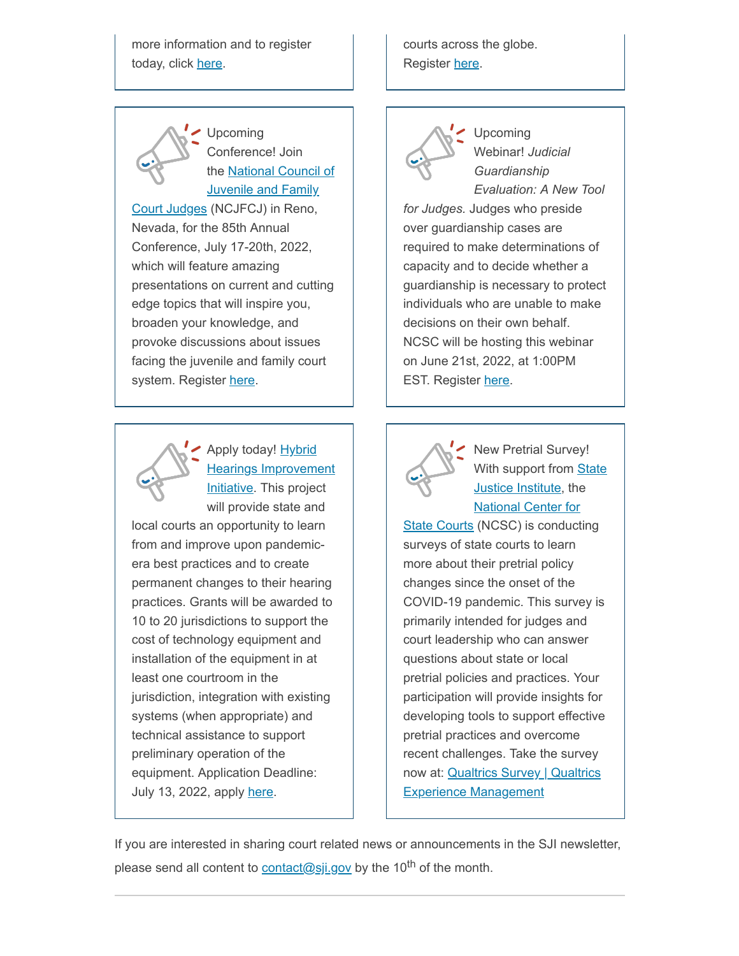more information and to register today, click [here](https://zoom.us/webinar/register/WN_mFd7bOBLS6SqWqwiC4EhTQ).



Upcoming Conference! Join the National Council of **[Juvenile and Family](http://www.ncjfcj.org/)** 

Court Judges (NCJFCJ) in Reno, Nevada, for the 85th Annual Conference, July 17-20th, 2022, which will feature amazing presentations on current and cutting edge topics that will inspire you, broaden your knowledge, and provoke discussions about issues facing the juvenile and family court system. Register [here](https://ncjfcj.users.membersuite.com/events/e63e4564-0078-cdb5-d948-2d881f903f5c/details).



Apply today! Hybrid **[Hearings Improvement](https://www.ncsc.org/services-and-experts/areas-of-expertise/access-to-justice/remote-and-virtual-hearings/hybrid-hearings)** Initiative. This project

will provide state and local courts an opportunity to learn from and improve upon pandemicera best practices and to create permanent changes to their hearing practices. Grants will be awarded to 10 to 20 jurisdictions to support the cost of technology equipment and installation of the equipment in at least one courtroom in the jurisdiction, integration with existing systems (when appropriate) and technical assistance to support preliminary operation of the equipment. Application Deadline: July 13, 2022, apply [here](https://ncsc2.iad1.qualtrics.com/jfe/form/SV_3PhbJyfBlRy6wYe).

courts across the globe. Register [here](https://nacmnet.org/conferences/2022annualconference/).



Upcoming Webinar! *Judicial Guardianship Evaluation: A New Tool*

*for Judges.* Judges who preside over guardianship cases are required to make determinations of capacity and to decide whether a guardianship is necessary to protect individuals who are unable to make decisions on their own behalf. NCSC will be hosting this webinar on June 21st, 2022, at 1:00PM EST. Register [here](https://zoom.us/webinar/register/WN_YI77vt3fQEGjq7mfjfrWkw).



New Pretrial Survey! With support from **State** Justice Institute, the National Center for

[State Courts \(NCSC\) is conduct](https://www.ncsc.org/)ing surveys of state courts to learn more about their pretrial policy changes since the onset of the COVID-19 pandemic. This survey is primarily intended for judges and court leadership who can answer questions about state or local pretrial policies and practices. Your participation will provide insights for developing tools to support effective pretrial practices and overcome recent challenges. Take the survey now at: [Qualtrics Survey | Qualtrics](https://ncsc2.iad1.qualtrics.com/jfe/form/SV_9TYdjpBoJm0zO3Y) Experience Management

If you are interested in sharing court related news or announcements in the SJI newsletter, please send all content to <u>contact@sji.gov</u> by the 10<sup>th</sup> of the month.